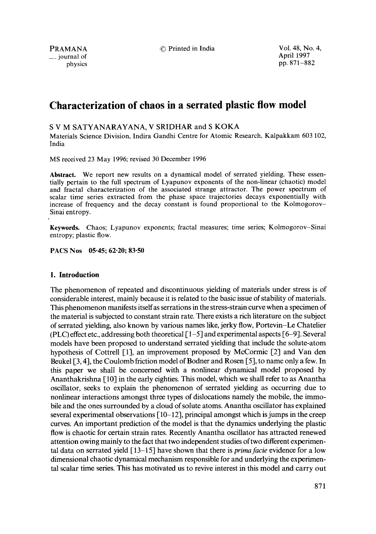$\equiv$  journal of

PRAMANA C<sup>o</sup> Printed in India Vol. 48, No. 4, No. 4, No. 4, Printed in India Vol. 48, No. 4, physics pp. 871-882

# **Characterization of chaos in a serrated plastic flow model**

# S V M SATYANARAYANA, V SRIDHAR and S KOKA

Materials Science Division, Indira Gandhi Centre for Atomic Research, Kalpakkam 603 102, India

MS received 23 May 1996; revised 30 December 1996

**Abstract.** We report new results on a dynamical model of serrated yielding. These essentially pertain to the full spectrum of Lyapunov exponents of the non-linear (chaotic) model and fractal characterization of the associated strange attractor. The power spectrum of scalar time series extracted from the phase space trajectories decays exponentially with increase of frequency and the decay constant is found proportional to the Kolmogorov-Sinai entropy.

**Keywords.** Chaos; Lyapunov exponents; fractal measures; time series; Kolmogorov-Sinai entropy; plastic flow.

PACS Nos 05.45; 62.20; 83-50

# **1. Introduction**

The phenomenon of repeated and discontinuous yielding of materials under stress is of considerable interest, mainly because it is related to the basic issue of stability of materials. This phenomenon manifests itself as serrations in the stress-strain curve when a specimen of the material is subjected to constant strain rate. There exists a rich literature on the subject of serrated yielding, also known by various names like, jerky flow, Portevin-Le Chatelier (PLC) effect etc., addressing both theoretical  $\lceil 1-5 \rceil$  and experimental aspects  $\lceil 6-9 \rceil$ . Several models have been proposed to understand serrated yielding that include the solute-atom hypothesis of Cottrell [1], an improvement proposed by McCormic [2] and Van den Beukel [3, 4], the Coulomb friction model of Bodner and Rosen [5], to name only a few. In this paper we shall be concerned with a nonlinear dynamical model proposed by Ananthakrishna [10] in the early eighties. This model, which we shall refer to as Anantha oscillator, seeks to explain the phenomenon of serrated yielding as occurring due to nonlinear interactions amongst three types of dislocations namely the mobile, the immobile and the ones surrounded by a cloud of solute atoms. Anantha oscillator has explained several experimental observations  $[10-12]$ , principal amongst which is jumps in the creep curves. An important prediction of the model is that the dynamics underlying the plastic flow is chaotic for certain strain rates. Recently Anantha oscillator has attracted renewed attention owing mainly to the fact that two independent studies of two different experimental data on serrated yield [13-15] have shown that there is *primafacie* evidence for a low dimensional chaotic dynamical mechanism responsible for and underlying the experimental scalar time series. This has motivated us to revive interest in this model and carry out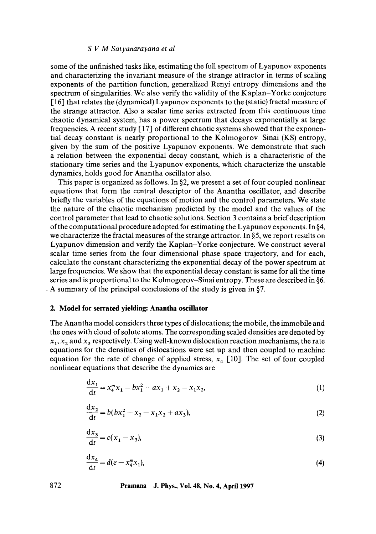## *S V M Satyanarayana et al*

some of the unfinished tasks like, estimating the full spectrum of Lyapunov exponents and characterizing the invariant measure of the strange attractor in terms of scaling exponents of the partition function, generalized Renyi entropy dimensions and the spectrum of singularities. We also verify the validity of the Kaplan-Yorke conjecture [16] that relates the (dynamical) Lyapunov exponents to the (static) fractal measure of the strange attractor. Also a scalar time series extracted from this continuous time chaotic dynamical system, has a power spectrum that decays exponentially at large frequencies. A recent study  $[17]$  of different chaotic systems showed that the exponential decay constant is nearly proportional to the Kolmogorov-Sinai (KS) entropy, given by the sum of the positive Lyapunov exponents. We demonstrate that such a relation between the exponential decay constant, which is a characteristic of the stationary time series and the Lyapunov exponents, which characterize the unstable dynamics, holds good for Anantha oscillator also.

This paper is organized as follows. In §2, we present a set of four coupled nonlinear equations that form the central descriptor of the Anantha oscillator, and describe briefly the variables of the equations of motion and the control parameters. We state the nature of the chaotic mechanism predicted by the model and the values of the control parameter that lead to chaotic solutions. Section 3 contains a brief description of the computational procedure adopted for estimating the Lyapunov exponents. In §4, we characterize the fractal measures of the strange attractor. In  $\S$ 5, we report results on Lyapunov dimension and verify the Kaplan-Yorke conjecture. We construct several scalar time series from the four dimensional phase space trajectory, and for each, calculate the constant characterizing the exponential decay of the power spectrum at large frequencies. We show that the exponential decay constant is same for all the time series and is proportional to the Kolmogorov-Sinai entropy. These are described in §6. . A summary of the principal conclusions of the study is given in §7.

## **2. Model for serrated yielding: Anantha oscillator**

The Anantha model considers three types of dislocations; the mobile, the immobile and the ones with cloud of solute atoms. The corresponding scaled densities are denoted by  $x_1, x_2$  and  $x_3$  respectively. Using well-known dislocation reaction mechanisms, the rate equations for the densities of dislocations were set up and then coupled to machine equation for the rate of change of applied stress,  $x_4$  [10]. The set of four coupled nonlinear equations that describe the dynamics are

$$
\frac{dx_1}{dt} = x_4^m x_1 - bx_1^2 - ax_1 + x_2 - x_1 x_2,\tag{1}
$$

$$
\frac{dx_2}{dt} = b(bx_1^2 - x_2 - x_1x_2 + ax_3),
$$
\n(2)

$$
\frac{\mathrm{d}x_3}{\mathrm{d}t} = c(x_1 - x_3),\tag{3}
$$

$$
\frac{\mathrm{d}x_4}{\mathrm{d}t} = d(e - x_4^m x_1),\tag{4}
$$

**872 Pramana - J. Phys., Vol. 48, No. 4, April 1997**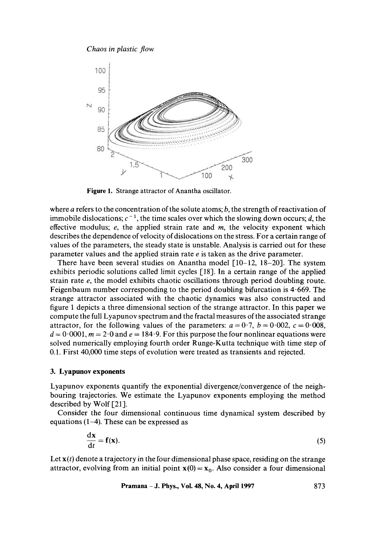



**Figure** 1. Strange attractor of Anantha oscillator.

where  $a$  refers to the concentration of the solute atoms;  $b$ , the strength of reactivation of immobile dislocations;  $c^{-1}$ , the time scales over which the slowing down occurs; d, the effective modulus;  $e$ , the applied strain rate and  $m$ , the velocity exponent which describes the dependence of velocity of dislocations on the stress. For a certain range of values of the parameters, the steady state is unstable. Analysis is carried out for these parameter values and the applied strain rate e is taken as the drive parameter.

There have been several studies on Anantha model  $[10-12, 18-20]$ . The system exhibits periodic solutions called limit cycles [18]. In a certain range of the applied strain rate e, the model exhibits chaotic oscillations through period doubling route. Feigenbaum number corresponding to the period doubling bifurcation is  $4.669$ . The strange attractor associated with the chaotic dynamics was also constructed and figure 1 depicts a three dimensional section of the strange attractor. In this paper we compute the full Lyapunov spectrum and the fractal measures of the associated strange attractor, for the following values of the parameters:  $a = 0.7$ ,  $b = 0.002$ ,  $c = 0.008$ ,  $d = 0.0001$ ,  $m = 2.0$  and  $e = 184.9$ . For this purpose the four nonlinear equations were solved numerically employing fourth order Runge-Kutta technique with time step of 0.1. First 40,000 time steps of evolution were treated as transients and rejected.

#### **3. Lyapunov exponents**

Lyapunov exponents quantify the exponential divergence/convergence of the neighbouring trajectories. We estimate the Lyapunov exponents employing the method described by Wolf [21].

Consider the four dimensional continuous time dynamical system described by equations (1-4). These can be expressed as

$$
\frac{\mathrm{d}x}{\mathrm{d}t} = f(x). \tag{5}
$$

Let  $\mathbf{x}(t)$  denote a trajectory in the four dimensional phase space, residing on the strange attractor, evolving from an initial point  $x(0) = x_0$ . Also consider a four dimensional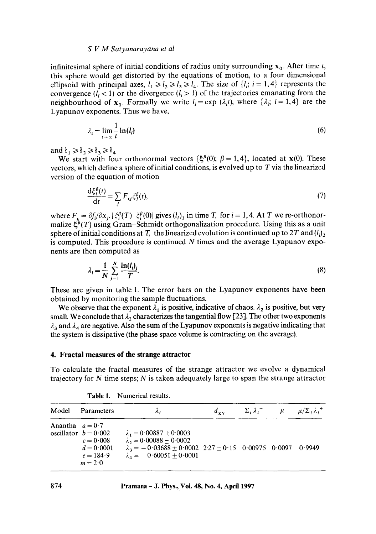#### *S V M Satyanarayana et al*

infinitesimal sphere of initial conditions of radius unity surrounding  $x_0$ . After time t, this sphere would get distorted by the equations of motion, to a four dimensional ellipsoid with principal axes,  $l_1 \ge l_2 \ge l_3 \ge l_4$ . The size of  $\{l_i; i = 1, 4\}$  represents the convergence  $(l, < 1)$  or the divergence  $(l_i > 1)$  of the trajectories emanating from the neighbourhood of  $x_0$ . Formally we write  $l_i = \exp(\lambda_i t)$ , where  $\{\lambda_i; i = 1,4\}$  are the Lyapunov exponents. Thus we have,

$$
\lambda_i = \lim_{t \to \infty} \frac{1}{t} \ln(l_i) \tag{6}
$$

and  $t_1 \geq t_2 \geq t_3 \geq t_4$ 

 $\mathbf{1} \cdot \mathbf{1} \cdot \mathbf{0}$ 

We start with four orthonormal vectors  $\{\xi^{\beta}(0); \beta = 1,4\}$ , located at  $x(0)$ . These vectors, which define a sphere of initial conditions, is evolved up to  $T$  via the linearized version of the equation of motion

$$
\frac{\mathrm{d}\xi_i^p(t)}{\mathrm{d}t} = \sum_j F_{ij}\xi_j^p(t),\tag{7}
$$

where  $F_{ij} = \partial f_i / \partial x_j$ .  $|\xi_i^{\beta}(T) - \xi_i^{\beta}(0)|$  gives  $(l_i)_1$  in time T, for  $i = 1, 4$ . At T we re-orthonormalize  $\xi^{\beta}(T)$  using Gram-Schmidt orthogonalization procedure. Using this as a unit sphere of initial conditions at T, the linearized evolution is continued up to 2T and  $(l_i)_2$ is computed. This procedure is continued  $N$  times and the average Lyapunov exponents are then computed as

$$
\lambda_i = \frac{1}{N} \sum_{j=1}^{N} \frac{\ln(l_i)_j}{T}.\tag{8}
$$

These are given in table 1. The error bars on the Lyapunov exponents have been obtained by monitoring the sample fluctuations.

We observe that the exponent  $\lambda_1$  is positive, indicative of chaos.  $\lambda_2$  is positive, but very small. We conclude that  $\lambda_2$  characterizes the tangential flow [23]. The other two exponents  $\lambda_3$  and  $\lambda_4$  are negative. Also the sum of the Lyapunov exponents is negative indicating that the system is dissipative (the phase space volume is contracting on the average).

### **4. Fractal measures of the strange attractor**

To calculate the fractal measures of the strange attractor we evolve a dynamical trajectory for  $N$  time steps;  $N$  is taken adequately large to span the strange attractor

|                   | Model Parameters                                                                  | ٨.                                                                                                                                                                               | $d_{\rm vv}$ | $\Sigma_i \lambda_i^+$ | $\mu$ $\mu/\Sigma_i \lambda_i^+$ |
|-------------------|-----------------------------------------------------------------------------------|----------------------------------------------------------------------------------------------------------------------------------------------------------------------------------|--------------|------------------------|----------------------------------|
| Anantha $a = 0.7$ | oscillator $b = 0.002$<br>$c = 0.008$<br>$d = 0.0001$<br>$e = 184.9$<br>$m = 2.0$ | $\lambda_1 = 0.00887 + 0.0003$<br>$\lambda_2 = 0.00088 \pm 0.0002$<br>$\lambda_3 = -0.03688 \pm 0.0002$ 2.27 $\pm$ 0.15 0.00975 0.0097 0.9949<br>$\lambda_4 = -0.60051 + 0.0001$ |              |                        |                                  |

**Table** 1. Numerical results.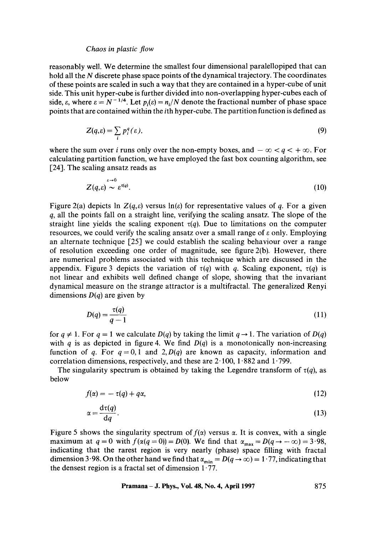reasonably well. We determine the smallest four dimensional paralellopiped that can hold all the  $N$  discrete phase space points of the dynamical trajectory. The coordinates of these points are scaled in such a way that they are contained in a hyper-cube of unit side. This unit hyper-cube is further divided into non-overlapping hyper-cubes each of side,  $\varepsilon$ , where  $\varepsilon = N^{-1/4}$ . Let  $p_i(\varepsilon) = n_i/N$  denote the fractional number of phase space points that are contained within the ith hyper-cube. The partition function is defined as

$$
Z(q,\varepsilon) = \sum_{i} p_i^q(\varepsilon), \tag{9}
$$

where the sum over *i* runs only over the non-empty boxes, and  $-\infty < q < +\infty$ . For calculating partition function, we have employed the fast box counting algorithm, see [24]. The scaling ansatz reads as

$$
Z(q,\varepsilon) \sim \varepsilon^{\tau(q)}.\tag{10}
$$

Figure 2(a) depicts  $\ln Z(q,\varepsilon)$  versus  $\ln(\varepsilon)$  for representative values of q. For a given  $q$ , all the points fall on a straight line, verifying the scaling ansatz. The slope of the straight line yields the scaling exponent  $\tau(q)$ . Due to limitations on the computer resources, we could verify the scaling ansatz over a small range of e only. Employing an alternate technique [25] we could establish the scaling behaviour over a range of resolution exceeding one order of magnitude, see figure  $2(b)$ . However, there are numerical problems associated with this technique which are discussed in the appendix. Figure 3 depicts the variation of  $\tau(q)$  with q. Scaling exponent,  $\tau(q)$  is not linear and exhibits well defined change of slope, showing that the invariant dynamical measure on the strange attractor is a multifractal. The generalized Renyi dimensions  $D(q)$  are given by

$$
D(q) = \frac{\tau(q)}{q-1} \tag{11}
$$

for  $q \neq 1$ . For  $q = 1$  we calculate  $D(q)$  by taking the limit  $q \rightarrow 1$ . The variation of  $D(q)$ with  $q$  is as depicted in figure 4. We find  $D(q)$  is a monotonically non-increasing function of q. For  $q = 0, 1$  and 2,  $D(q)$  are known as capacity, information and correlation dimensions, respectively, and these are  $2 \cdot 100$ ,  $1 \cdot 882$  and  $1 \cdot 799$ .

The singularity spectrum is obtained by taking the Legendre transform of  $\tau(q)$ , as below

$$
f(\alpha) = -\tau(q) + q\alpha,\tag{12}
$$

$$
\alpha = \frac{\mathrm{d}\tau(q)}{\mathrm{d}q}.\tag{13}
$$

Figure 5 shows the singularity spectrum of  $f(x)$  versus  $\alpha$ . It is convex, with a single maximum at  $q = 0$  with  $f(\alpha(q = 0)) = D(0)$ . We find that  $\alpha_{\text{max}} = D(q \rightarrow -\infty) = 3.98$ , indicating that the rarest region is very nearly (phase) space filling with fractal dimension 3.98. On the other hand we find that  $\alpha_{\min} = D(q \to \infty) = 1.77$ , indicating that the densest region is a fractal set of dimension  $1.77$ .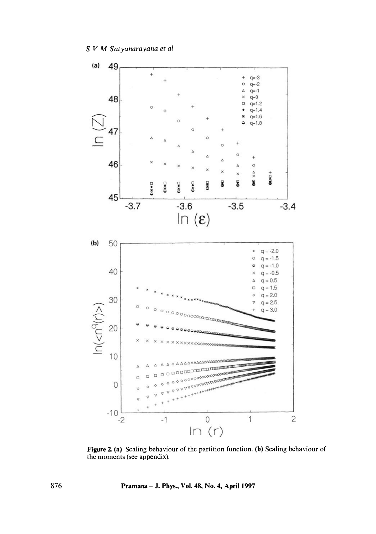

**Figure 2. (a) Scaling behaviour of the partition function. (b) Scaling behaviour of the moments (see appendix).** 

**876 Pramana - J. Phys., Vol. 48, No. 4, April 1997**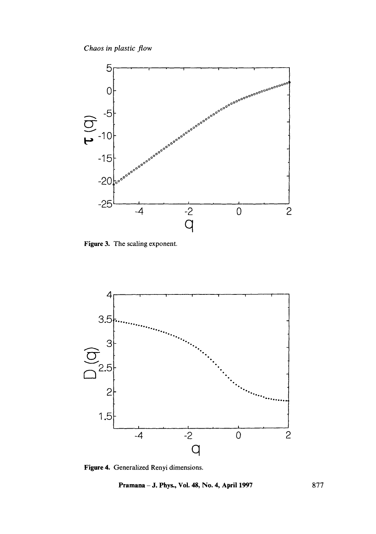

**Figure 3. The scaling exponent.** 



**Figure 4. Generalized Renyi dimensions.** 

**Pramana - J. Phys., Vol. 48, No. 4, April 1997** 877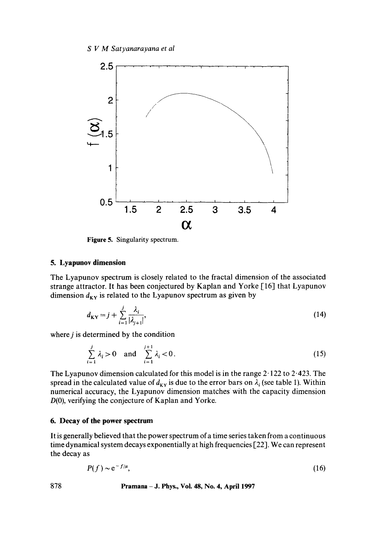

**Figure** 5. Singularity spectrum.

# **5. Lyapunov dimension**

The Lyapunov spectrum is closely related to the fractal dimension of the associated strange attractor. It has been conjectured by Kaplan and Yorke [16] that Lyapunov dimension  $d_{KY}$  is related to the Lyapunov spectrum as given by

$$
d_{\mathbf{K}\mathbf{Y}} = j + \sum_{i=1}^{j} \frac{\lambda_i}{|\lambda_{j+1}|},\tag{14}
$$

where  $j$  is determined by the condition

$$
\sum_{i=1}^{j} \lambda_i > 0 \text{ and } \sum_{i=1}^{j+1} \lambda_i < 0. \tag{15}
$$

The Lyapunov dimension calculated for this model is in the range 2-122 to 2.423. The spread in the calculated value of  $d_{KY}$  is due to the error bars on  $\lambda_i$  (see table 1). Within numerical accuracy, the Lyapunov dimension matches with the capacity dimension D(0), verifying the conjecture of Kaplan and Yorke.

## **6. Decay of the power spectrum**

It is generally believed that the power spectrum of a time series taken from a continuous time dynamical system decays exponentially at high frequencies [22]. We can represent the decay as

$$
P(f) \sim e^{-f/\mu},\tag{16}
$$

### **878 Pramana -** J. Phys., Vol. 48, No. 4, April 1997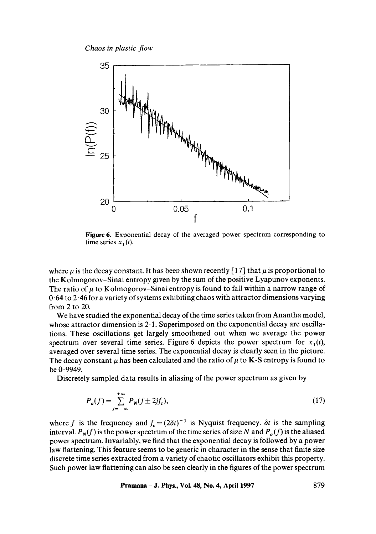

**Figure** 6. Exponential decay of the averaged power spectrum corresponding to time series  $x_1(t)$ .

where  $\mu$  is the decay constant. It has been shown recently [17] that  $\mu$  is proportional to the Kolmogorov-Sinai entropy given by the sum of the positive Lyapunov exponents. The ratio of  $\mu$  to Kolmogorov–Sinai entropy is found to fall within a narrow range of  $0.64$  to  $2.46$  for a variety of systems exhibiting chaos with attractor dimensions varying from 2 to 20.

We have studied the exponential decay of the time series taken from Anantha model, whose attractor dimension is  $2 \cdot 1$ . Superimposed on the exponential decay are oscillations. These oscillations get largely smoothened out when we average the power spectrum over several time series. Figure 6 depicts the power spectrum for  $x_1(t)$ , averaged over several time series. The exponential decay is clearly seen in the picture. The decay constant  $\mu$  has been calculated and the ratio of  $\mu$  to K-S entropy is found to be 0.9949.

Discretely sampled data results in aliasing of the power spectrum as given by

$$
P_a(f) = \sum_{j=-\infty}^{+\infty} P_N(f \pm 2jf_c),
$$
\n(17)

where f is the frequency and  $f_c = (2\delta t)^{-1}$  is Nyquist frequency.  $\delta t$  is the sampling interval.  $P_N(f)$  is the power spectrum of the time series of size N and  $P_a(f)$  is the aliased power spectrum. Invariably, we find that the exponential decay is followed by a power law flattening. This feature seems to be generic in character in the sense that finite size discrete time series extracted from a variety of chaotic oscillators exhibit this property. Such power law flattening can also be seen clearly in the figures of the power spectrum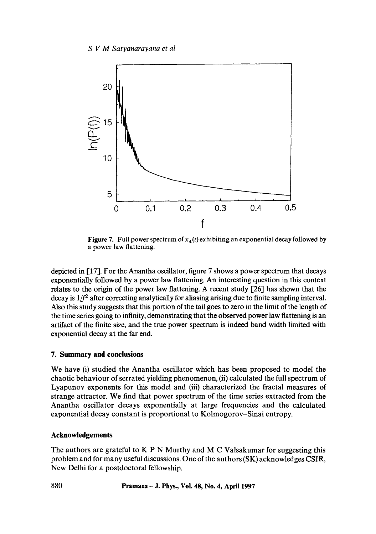

**Figure 7.** Full power spectrum of  $x_4(t)$  exhibiting an exponential decay followed by a power law flattening.

depicted in [17]. For the Anantha oscillator, figure 7 shows a power spectrum that decays exponentially followed by a power law flattening. An interesting question in this context relates to the origin of the power law flattening. A recent study  $\lceil 26 \rceil$  has shown that the decay is  $1/f<sup>2</sup>$  after correcting analytically for aliasing arising due to finite sampling interval. Also this study suggests that this portion of the tail goes to zero in the limit of the length of the time series going to infinity, demonstrating that the observed power law flattening is an artifact of the finite size, and the true power spectrum is indeed band width limited with exponential decay at the far end.

# **7. Summary and conclusions**

We have (i) studied the Anantha oscillator which has been proposed to model the chaotic behaviour of serrated yielding phenomenon, (ii) calculated the full spectrum of Lyapunov exponents for this model and (iii) characterized the fractal measures of strange attractor. We find that power spectrum of the time series extracted from the Anantha oscillator decays exponentially at large frequencies and the calculated exponential decay constant is proportional to Kolmogorov-Sinai entropy.

# **Acknowledgements**

The authors are grateful to  $K P N$  Murthy and M C Valsakumar for suggesting this problem and for many useful discussions. One of the authors (SK) acknowledges CSIR, New Delhi for a postdoctoral fellowship.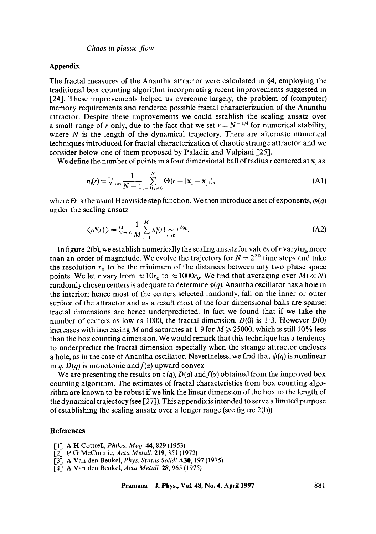## **Appendix**

The fractal measures of the Anantha attractor were calculated in §4, employing the traditional box counting algorithm incorporating recent improvements suggested in [24]. These improvements helped us overcome largely, the problem of (computer) memory requirements and rendered possible fractal characterization of the Anantha attractor. Despite these improvements we could establish the scaling ansatz over a small range of r only, due to the fact that we set  $r = N^{-1/4}$  for numerical stability, where  $N$  is the length of the dynamical trajectory. There are alternate numerical techniques introduced for fractal characterization of chaotic strange attractor and we consider below one of them proposed by Paladin and Vulpiani [25].

We define the number of points in a four dimensional ball of radius r centered at  $x_i$  as

$$
n_{i}(r) = \frac{L!}{N!} \sum_{j=1}^{N} \sum_{j=1}^{N} \Theta(r - |\mathbf{x}_{i} - \mathbf{x}_{j}|),
$$
 (A1)

where  $\Theta$  is the usual Heaviside step function. We then introduce a set of exponents,  $\phi(q)$ under the scaling ansatz

$$
\langle n^{q}(r) \rangle = \lim_{M \to \infty} \frac{1}{M} \sum_{i=1}^{M} n_{i}^{q}(r) \sim r^{\phi(q)}.
$$
 (A2)

In figure  $2(b)$ , we establish numerically the scaling ansatz for values of r varying more than an order of magnitude. We evolve the trajectory for  $N = 2^{20}$  time steps and take the resolution  $r_0$  to be the minimum of the distances between any two phase space points. We let r vary from  $\approx 10r_0$  to  $\approx 1000r_0$ . We find that averaging over  $M(\ll N)$ randomly chosen centers is adequate to determine  $\phi(q)$ . Anantha oscillator has a hole in the interior; hence most of the centers selected randomly, fall on the inner or outer surface of the attractor and as a result most of the four dimensional balls are sparse: fractal dimensions are hence underpredicted. In fact we found that if we take the number of centers as low as 1000, the fractal dimension,  $D(0)$  is 1.3. However  $D(0)$ increases with increasing M and saturates at 1.9 for  $M \ge 25000$ , which is still 10% less than the box counting dimension. We would remark that this technique has a tendency to underpredict the fractal dimension especially when the strange attractor encloses a hole, as in the case of Anantha oscillator. Nevertheless, we find that  $\phi(q)$  is nonlinear in *q*,  $D(q)$  is monotonic and  $f(\alpha)$  upward convex.

We are presenting the results on  $\tau(q)$ ,  $D(q)$  and  $f(\alpha)$  obtained from the improved box counting algorithm. The estimates of fractal characteristics from box counting algorithm are known to be robust if we link the linear dimension of the box to the length of the dynamical trajectory (see [27]). This appendix is intended to serve a limited purpose of establishing the scaling ansatz over a longer range (see figure 2(b)).

## **References**

- [1] A H Cottrell, *Philos. Mag.* 44, 829 (1953)
- [2] P G McCormic, *Acta Metall.* 219, 351 (1972)
- [3] A Van den Beukel, *Phys. Status Solidi* A30, 197 (1975)
- [4] A Van den Beukel, *Acta Metall.* 28, 965 (1975)